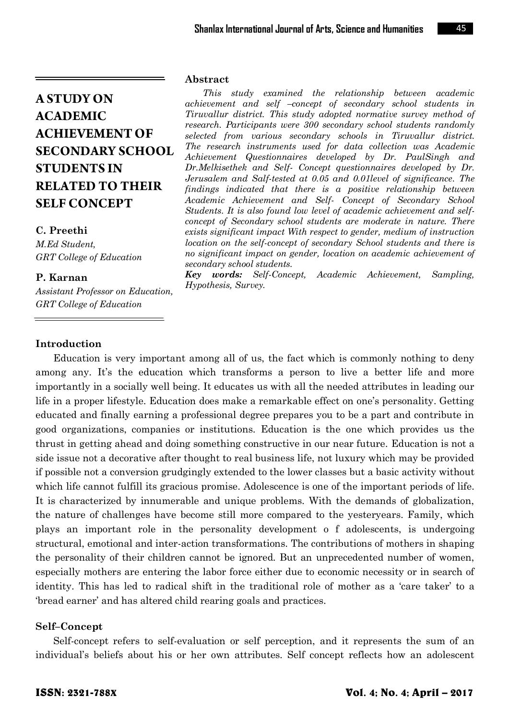# **C. Preethi**

*M.Ed Student, GRT College of Education*

# **P. Karnan**

*Assistant Professor on Education, GRT College of Education*

#### **Abstract**

*This study examined the relationship between academic achievement and self –concept of secondary school students in Tiruvallur district. This study adopted normative survey method of research. Participants were 300 secondary school students randomly selected from various secondary schools in Tiruvallur district. The research instruments used for data collection was Academic Achievement Questionnaires developed by Dr. PaulSingh and Dr.Melkisethek and Self- Concept questionnaires developed by Dr. Jerusalem and Salf-tested at 0.05 and 0.01level of significance. The findings indicated that there is a positive relationship between Academic Achievement and Self- Concept of Secondary School Students. It is also found low level of academic achievement and selfconcept of Secondary school students are moderate in nature. There exists significant impact With respect to gender, medium of instruction location on the self-concept of secondary School students and there is no significant impact on gender, location on academic achievement of secondary school students.*

*Key words: Self-Concept, Academic Achievement, Sampling, Hypothesis, Survey.*

# **Introduction**

Education is very important among all of us, the fact which is commonly nothing to deny among any. It's the education which transforms a person to live a better life and more importantly in a socially well being. It educates us with all the needed attributes in leading our life in a proper lifestyle. Education does make a remarkable effect on one's personality. Getting educated and finally earning a professional degree prepares you to be a part and contribute in good organizations, companies or institutions. Education is the one which provides us the thrust in getting ahead and doing something constructive in our near future. Education is not a side issue not a decorative after thought to real business life, not luxury which may be provided if possible not a conversion grudgingly extended to the lower classes but a basic activity without which life cannot fulfill its gracious promise. Adolescence is one of the important periods of life. It is characterized by innumerable and unique problems. With the demands of globalization, the nature of challenges have become still more compared to the yesteryears. Family, which plays an important role in the personality development o f adolescents, is undergoing structural, emotional and inter-action transformations. The contributions of mothers in shaping the personality of their children cannot be ignored. But an unprecedented number of women, especially mothers are entering the labor force either due to economic necessity or in search of identity. This has led to radical shift in the traditional role of mother as a 'care taker' to a ‗bread earner' and has altered child rearing goals and practices.

# **Self–Concept**

Self-concept refers to self-evaluation or self perception, and it represents the sum of an individual's beliefs about his or her own attributes. Self concept reflects how an adolescent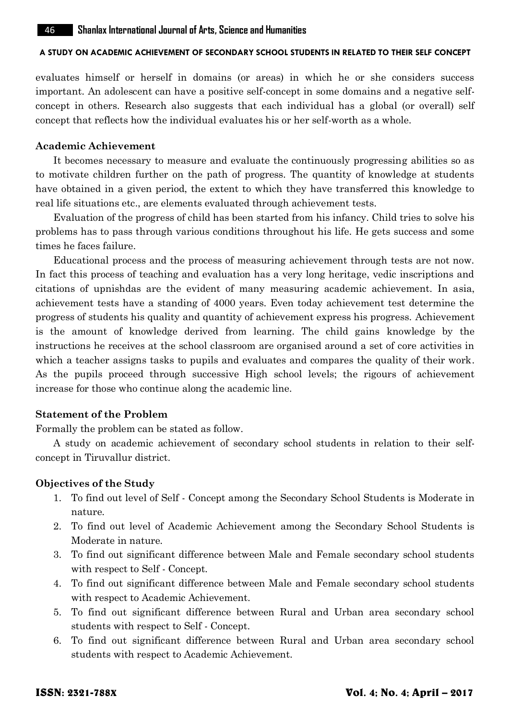evaluates himself or herself in domains (or areas) in which he or she considers success important. An adolescent can have a positive self-concept in some domains and a negative selfconcept in others. Research also suggests that each individual has a global (or overall) self concept that reflects how the individual evaluates his or her self-worth as a whole.

#### **Academic Achievement**

It becomes necessary to measure and evaluate the continuously progressing abilities so as to motivate children further on the path of progress. The quantity of knowledge at students have obtained in a given period, the extent to which they have transferred this knowledge to real life situations etc., are elements evaluated through achievement tests.

Evaluation of the progress of child has been started from his infancy. Child tries to solve his problems has to pass through various conditions throughout his life. He gets success and some times he faces failure.

Educational process and the process of measuring achievement through tests are not now. In fact this process of teaching and evaluation has a very long heritage, vedic inscriptions and citations of upnishdas are the evident of many measuring academic achievement. In asia, achievement tests have a standing of 4000 years. Even today achievement test determine the progress of students his quality and quantity of achievement express his progress. Achievement is the amount of knowledge derived from learning. The child gains knowledge by the instructions he receives at the school classroom are organised around a set of core activities in which a teacher assigns tasks to pupils and evaluates and compares the quality of their work. As the pupils proceed through successive High school levels; the rigours of achievement increase for those who continue along the academic line.

#### **Statement of the Problem**

Formally the problem can be stated as follow.

A study on academic achievement of secondary school students in relation to their selfconcept in Tiruvallur district.

#### **Objectives of the Study**

- 1. To find out level of Self Concept among the Secondary School Students is Moderate in nature.
- 2. To find out level of Academic Achievement among the Secondary School Students is Moderate in nature.
- 3. To find out significant difference between Male and Female secondary school students with respect to Self - Concept.
- 4. To find out significant difference between Male and Female secondary school students with respect to Academic Achievement.
- 5. To find out significant difference between Rural and Urban area secondary school students with respect to Self - Concept.
- 6. To find out significant difference between Rural and Urban area secondary school students with respect to Academic Achievement.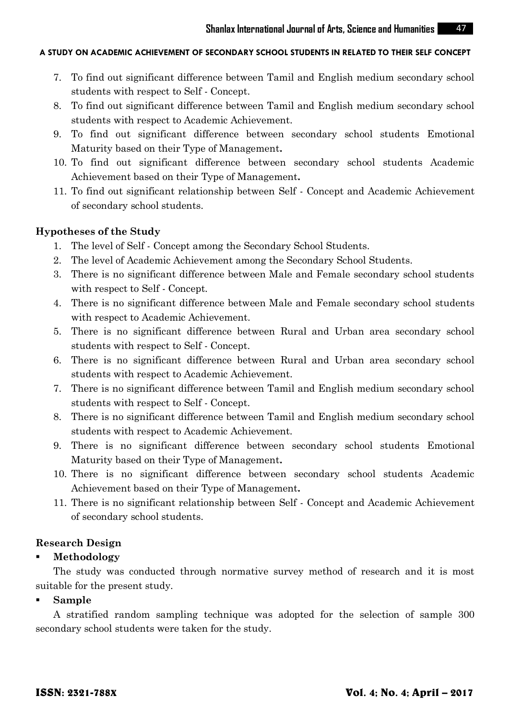- 7. To find out significant difference between Tamil and English medium secondary school students with respect to Self - Concept.
- 8. To find out significant difference between Tamil and English medium secondary school students with respect to Academic Achievement.
- 9. To find out significant difference between secondary school students Emotional Maturity based on their Type of Management**.**
- 10. To find out significant difference between secondary school students Academic Achievement based on their Type of Management**.**
- 11. To find out significant relationship between Self Concept and Academic Achievement of secondary school students.

# **Hypotheses of the Study**

- 1. The level of Self Concept among the Secondary School Students.
- 2. The level of Academic Achievement among the Secondary School Students.
- 3. There is no significant difference between Male and Female secondary school students with respect to Self - Concept.
- 4. There is no significant difference between Male and Female secondary school students with respect to Academic Achievement.
- 5. There is no significant difference between Rural and Urban area secondary school students with respect to Self - Concept.
- 6. There is no significant difference between Rural and Urban area secondary school students with respect to Academic Achievement.
- 7. There is no significant difference between Tamil and English medium secondary school students with respect to Self - Concept.
- 8. There is no significant difference between Tamil and English medium secondary school students with respect to Academic Achievement.
- 9. There is no significant difference between secondary school students Emotional Maturity based on their Type of Management**.**
- 10. There is no significant difference between secondary school students Academic Achievement based on their Type of Management**.**
- 11. There is no significant relationship between Self Concept and Academic Achievement of secondary school students.

# **Research Design**

# **Methodology**

The study was conducted through normative survey method of research and it is most suitable for the present study.

#### **Sample**

A stratified random sampling technique was adopted for the selection of sample 300 secondary school students were taken for the study.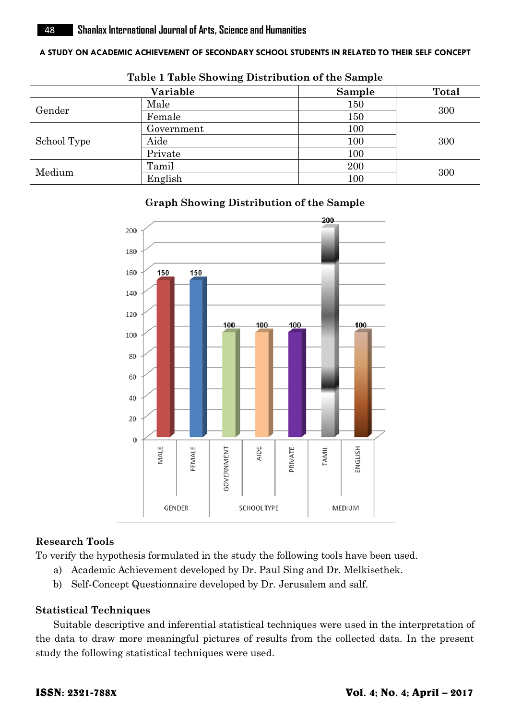|             | Variable   | Sample | <b>Total</b> |  |
|-------------|------------|--------|--------------|--|
| Gender      | Male       | 150    | 300          |  |
|             | Female     | 150    |              |  |
| School Type | Government | 100    |              |  |
|             | Aide       | 100    | 300          |  |
|             | Private    | 100    |              |  |
| Medium      | Tamil      | 200    |              |  |
|             | English    | 100    | 300          |  |

#### **Table 1 Table Showing Distribution of the Sample**

# **Graph Showing Distribution of the Sample**



# **Research Tools**

To verify the hypothesis formulated in the study the following tools have been used.

- a) Academic Achievement developed by Dr. Paul Sing and Dr. Melkisethek.
- b) Self-Concept Questionnaire developed by Dr. Jerusalem and salf.

# **Statistical Techniques**

Suitable descriptive and inferential statistical techniques were used in the interpretation of the data to draw more meaningful pictures of results from the collected data. In the present study the following statistical techniques were used.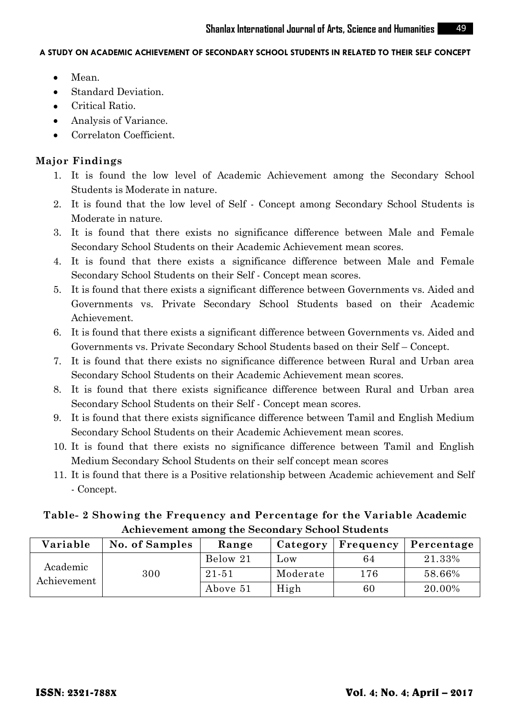- $\bullet$ Mean.
- Standard Deviation.  $\bullet$
- Critical Ratio.  $\bullet$
- $\bullet$ Analysis of Variance.
- Correlaton Coefficient.

# **Major Findings**

- 1. It is found the low level of Academic Achievement among the Secondary School Students is Moderate in nature.
- 2. It is found that the low level of Self Concept among Secondary School Students is Moderate in nature.
- 3. It is found that there exists no significance difference between Male and Female Secondary School Students on their Academic Achievement mean scores.
- 4. It is found that there exists a significance difference between Male and Female Secondary School Students on their Self - Concept mean scores.
- 5. It is found that there exists a significant difference between Governments vs. Aided and Governments vs. Private Secondary School Students based on their Academic Achievement.
- 6. It is found that there exists a significant difference between Governments vs. Aided and Governments vs. Private Secondary School Students based on their Self – Concept.
- 7. It is found that there exists no significance difference between Rural and Urban area Secondary School Students on their Academic Achievement mean scores.
- 8. It is found that there exists significance difference between Rural and Urban area Secondary School Students on their Self - Concept mean scores.
- 9. It is found that there exists significance difference between Tamil and English Medium Secondary School Students on their Academic Achievement mean scores.
- 10. It is found that there exists no significance difference between Tamil and English Medium Secondary School Students on their self concept mean scores
- 11. It is found that there is a Positive relationship between Academic achievement and Self - Concept.

# **Table- 2 Showing the Frequency and Percentage for the Variable Academic Achievement among the Secondary School Students**

| Variable                | No. of Samples | Range     |          | Category   Frequency | Percentage |
|-------------------------|----------------|-----------|----------|----------------------|------------|
| Academic<br>Achievement | 300            | Below 21  | Low      | 64                   | 21.33%     |
|                         |                | $21 - 51$ | Moderate | 176                  | 58.66%     |
|                         |                | Above 51  | High     | 60                   | 20.00%     |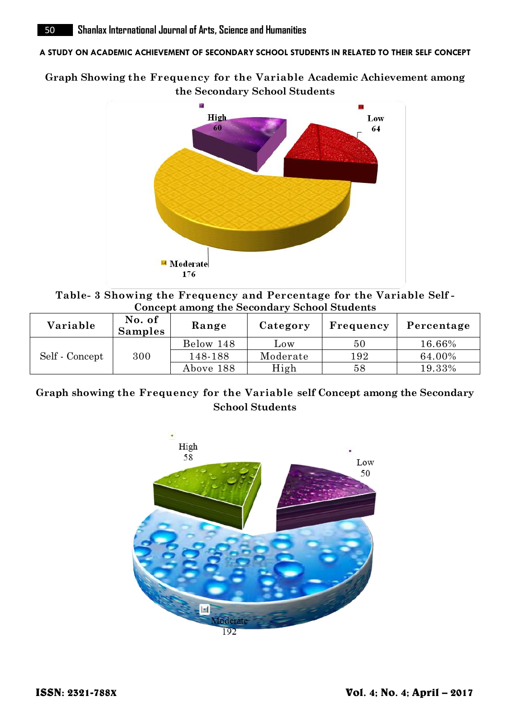**Graph Showing the Frequency for the Variable Academic Achievement among the Secondary School Students**



**Table- 3 Showing the Frequency and Percentage for the Variable Self - Concept among the Secondary School Students**

| Variable       | No. of<br><b>Samples</b> | Range     | Category | Frequency | Percentage |
|----------------|--------------------------|-----------|----------|-----------|------------|
| Self - Concept | 300                      | Below 148 | Low      | 50        | 16.66%     |
|                |                          | 148-188   | Moderate | 192       | 64.00%     |
|                |                          | Above 188 | High     | 58        | 19.33%     |

# **Graph showing the Frequency for the Variable self Concept among the Secondary School Students**

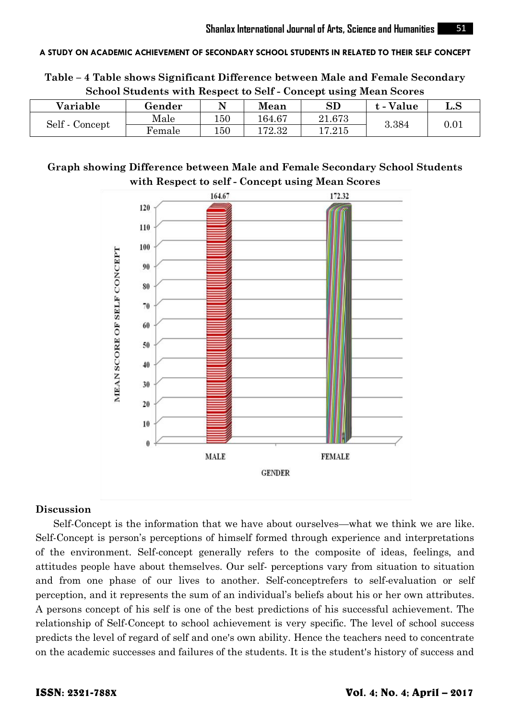**Table – 4 Table shows Significant Difference between Male and Female Secondary School Students with Respect to Self - Concept using Mean Scores**

| Variable       | Gender |     | Mean       | ${\bf SD}$ | Value | $\operatorname{L.S}$ |
|----------------|--------|-----|------------|------------|-------|----------------------|
| Self - Concept | Male   | 150 | $164.67\,$ | 21.673     | 3.384 | 0.01                 |
|                | Female | 150 | 172.32     | $17.215\,$ |       |                      |

# **Graph showing Difference between Male and Female Secondary School Students with Respect to self - Concept using Mean Scores**



#### **Discussion**

Self-Concept is the information that we have about ourselves—what we think we are like. Self-Concept is person's perceptions of himself formed through experience and interpretations of the environment. Self-concept generally refers to the composite of ideas, feelings, and attitudes people have about themselves. Our self- perceptions vary from situation to situation and from one phase of our lives to another. Self-conceptrefers to self-evaluation or self perception, and it represents the sum of an individual's beliefs about his or her own attributes. A persons concept of his self is one of the best predictions of his successful achievement. The relationship of Self-Concept to school achievement is very specific. The level of school success predicts the level of regard of self and one's own ability. Hence the teachers need to concentrate on the academic successes and failures of the students. It is the student's history of success and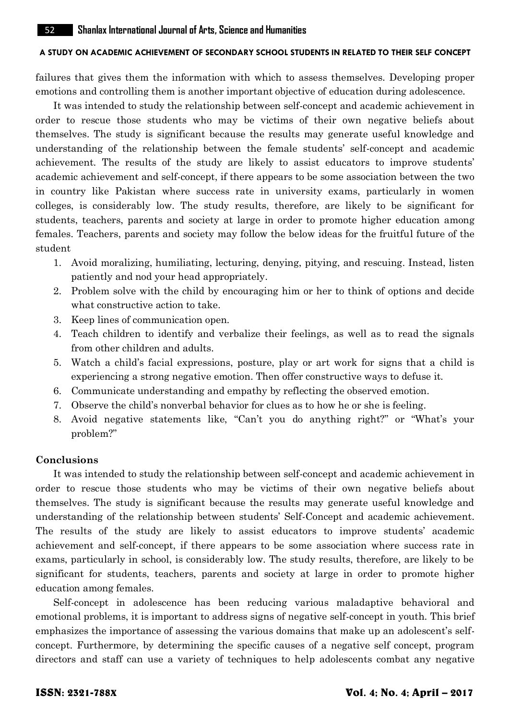failures that gives them the information with which to assess themselves. Developing proper emotions and controlling them is another important objective of education during adolescence.

It was intended to study the relationship between self-concept and academic achievement in order to rescue those students who may be victims of their own negative beliefs about themselves. The study is significant because the results may generate useful knowledge and understanding of the relationship between the female students' self-concept and academic achievement. The results of the study are likely to assist educators to improve students' academic achievement and self-concept, if there appears to be some association between the two in country like Pakistan where success rate in university exams, particularly in women colleges, is considerably low. The study results, therefore, are likely to be significant for students, teachers, parents and society at large in order to promote higher education among females. Teachers, parents and society may follow the below ideas for the fruitful future of the student

- 1. Avoid moralizing, humiliating, lecturing, denying, pitying, and rescuing. Instead, listen patiently and nod your head appropriately.
- 2. Problem solve with the child by encouraging him or her to think of options and decide what constructive action to take.
- 3. Keep lines of communication open.
- 4. Teach children to identify and verbalize their feelings, as well as to read the signals from other children and adults.
- 5. Watch a child's facial expressions, posture, play or art work for signs that a child is experiencing a strong negative emotion. Then offer constructive ways to defuse it.
- 6. Communicate understanding and empathy by reflecting the observed emotion.
- 7. Observe the child's nonverbal behavior for clues as to how he or she is feeling.
- 8. Avoid negative statements like, "Can't you do anything right?" or "What's your problem?"

# **Conclusions**

It was intended to study the relationship between self-concept and academic achievement in order to rescue those students who may be victims of their own negative beliefs about themselves. The study is significant because the results may generate useful knowledge and understanding of the relationship between students' Self-Concept and academic achievement. The results of the study are likely to assist educators to improve students' academic achievement and self-concept, if there appears to be some association where success rate in exams, particularly in school, is considerably low. The study results, therefore, are likely to be significant for students, teachers, parents and society at large in order to promote higher education among females.

Self-concept in adolescence has been reducing various maladaptive behavioral and emotional problems, it is important to address signs of negative self-concept in youth. This brief emphasizes the importance of assessing the various domains that make up an adolescent's selfconcept. Furthermore, by determining the specific causes of a negative self concept, program directors and staff can use a variety of techniques to help adolescents combat any negative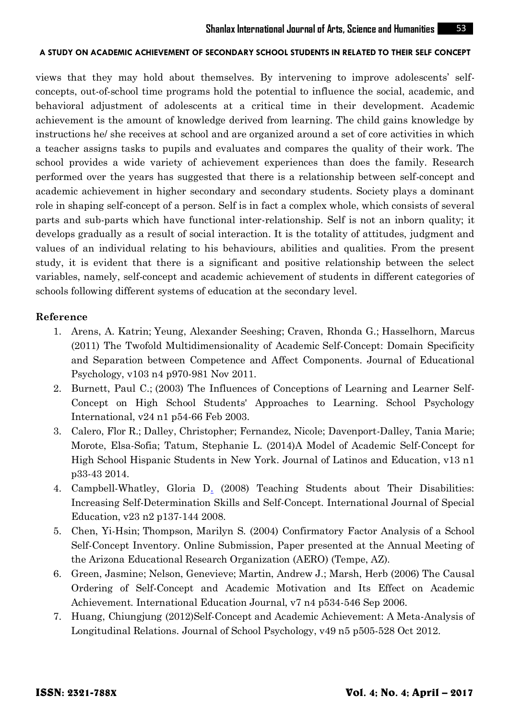views that they may hold about themselves. By intervening to improve adolescents' selfconcepts, out-of-school time programs hold the potential to influence the social, academic, and behavioral adjustment of adolescents at a critical time in their development. Academic achievement is the amount of knowledge derived from learning. The child gains knowledge by instructions he/ she receives at school and are organized around a set of core activities in which a teacher assigns tasks to pupils and evaluates and compares the quality of their work. The school provides a wide variety of achievement experiences than does the family. Research performed over the years has suggested that there is a relationship between self-concept and academic achievement in higher secondary and secondary students. Society plays a dominant role in shaping self-concept of a person. Self is in fact a complex whole, which consists of several parts and sub-parts which have functional inter-relationship. Self is not an inborn quality; it develops gradually as a result of social interaction. It is the totality of attitudes, judgment and values of an individual relating to his behaviours, abilities and qualities. From the present study, it is evident that there is a significant and positive relationship between the select variables, namely, self-concept and academic achievement of students in different categories of schools following different systems of education at the secondary level.

#### **Reference**

- 1. [Arens, A. Katrin;](http://www.eric.ed.gov/ERICWebPortal/search/simpleSearch.jsp?_pageLabel=ERICSearchResult&_urlType=action&newSearch=true&ERICExtSearch_SearchType_0=au&ERICExtSearch_SearchValue_0=%22Arens+A.+Katrin%22) [Yeung, Alexander Seeshing;](http://www.eric.ed.gov/ERICWebPortal/search/simpleSearch.jsp?_pageLabel=ERICSearchResult&_urlType=action&newSearch=true&ERICExtSearch_SearchType_0=au&ERICExtSearch_SearchValue_0=%22Yeung+Alexander+Seeshing%22) [Craven, Rhonda G.;](http://www.eric.ed.gov/ERICWebPortal/search/simpleSearch.jsp?_pageLabel=ERICSearchResult&_urlType=action&newSearch=true&ERICExtSearch_SearchType_0=au&ERICExtSearch_SearchValue_0=%22Craven+Rhonda+G.%22) [Hasselhorn, Marcus](http://www.eric.ed.gov/ERICWebPortal/search/simpleSearch.jsp?_pageLabel=ERICSearchResult&_urlType=action&newSearch=true&ERICExtSearch_SearchType_0=au&ERICExtSearch_SearchValue_0=%22Hasselhorn+Marcus%22) (2011) [The Twofold Multidimensionality of Academic](http://www.eric.ed.gov/ERICWebPortal/search/recordDetails.jsp?searchtype=advanced&pageSize=10&ERICExtSearch_Operator_2=and&ERICExtSearch_SearchValue_0=SELF+CONCEPT+in+school&ERICExtSearch_EDEJSearch=elecBoth&ERICExtSearch_SearchType_2=kw&ERICExtSearch_Operator_1=and&eric_displayStartCount=1&ERICExtSearch_SearchType_1=kw&ERICExtSearch_SearchType_0=kw&ERICExtSearch_PubDate_From=2011&ERICExtSearch_PubDate_To=2012&ERICExtSearch_SearchCount=0&_pageLabel=RecordDetails&objectId=0900019b804981fb&accno=EJ952388&_nfls=false) Self-Concept: Domain Specificity [and Separation between Competence and](http://www.eric.ed.gov/ERICWebPortal/search/recordDetails.jsp?searchtype=advanced&pageSize=10&ERICExtSearch_Operator_2=and&ERICExtSearch_SearchValue_0=SELF+CONCEPT+in+school&ERICExtSearch_EDEJSearch=elecBoth&ERICExtSearch_SearchType_2=kw&ERICExtSearch_Operator_1=and&eric_displayStartCount=1&ERICExtSearch_SearchType_1=kw&ERICExtSearch_SearchType_0=kw&ERICExtSearch_PubDate_From=2011&ERICExtSearch_PubDate_To=2012&ERICExtSearch_SearchCount=0&_pageLabel=RecordDetails&objectId=0900019b804981fb&accno=EJ952388&_nfls=false) Affect Components. Journal of Educational Psychology, v103 n4 p970-981 Nov 2011.
- 2. [Burnett, Paul C.;](http://www.eric.ed.gov/ERICWebPortal/search/simpleSearch.jsp?_pageLabel=ERICSearchResult&_urlType=action&newSearch=true&ERICExtSearch_SearchType_0=au&ERICExtSearch_SearchValue_0=%22Burnett+Paul+C.%22) (2003) The Influences of Conceptions of Learning and Learner Self-Concept on High School Students' Approaches to Learning. School Psychology International, v24 n1 p54-66 Feb 2003.
- 3. Calero, Flor R.; Dalley, Christopher; Fernandez, Nicole; Davenport-Dalley, Tania Marie; Morote, Elsa-Sofia; Tatum, Stephanie L. (2014)A Model of Academic Self-Concept for High School Hispanic Students in New York. Journal of Latinos and Education, v13 n1 p33-43 2014.
- 4. [Campbell-Whatley, Gloria D.](http://www.eric.ed.gov/ERICWebPortal/search/simpleSearch.jsp?_pageLabel=ERICSearchResult&_urlType=action&newSearch=true&ERICExtSearch_SearchType_0=au&ERICExtSearch_SearchValue_0=%22Campbell-Whatley+Gloria+D.%22) (2008) Teaching Students about Their Disabilities: Increasing Self-Determination Skills and Self-Concept. International Journal of Special Education, v23 n2 p137-144 2008.
- 5. [Chen, Yi-Hsin;](http://www.eric.ed.gov/ERICWebPortal/search/simpleSearch.jsp?_pageLabel=ERICSearchResult&_urlType=action&newSearch=true&ERICExtSearch_SearchType_0=au&ERICExtSearch_SearchValue_0=%22Chen+Yi-Hsin%22) [Thompson, Marilyn S.](http://www.eric.ed.gov/ERICWebPortal/search/simpleSearch.jsp?_pageLabel=ERICSearchResult&_urlType=action&newSearch=true&ERICExtSearch_SearchType_0=au&ERICExtSearch_SearchValue_0=%22Thompson+Marilyn+S.%22) (2004) Confirmatory Factor Analysis of a School Self-Concept Inventory. Online Submission, Paper presented at the Annual Meeting of the Arizona Educational Research Organization (AERO) (Tempe, AZ).
- 6. [Green, Jasmine;](http://www.eric.ed.gov/ERICWebPortal/search/simpleSearch.jsp?_pageLabel=ERICSearchResult&_urlType=action&newSearch=true&ERICExtSearch_SearchType_0=au&ERICExtSearch_SearchValue_0=%22Green+Jasmine%22) [Nelson, Genevieve;](http://www.eric.ed.gov/ERICWebPortal/search/simpleSearch.jsp?_pageLabel=ERICSearchResult&_urlType=action&newSearch=true&ERICExtSearch_SearchType_0=au&ERICExtSearch_SearchValue_0=%22Nelson+Genevieve%22) [Martin, Andrew J.;](http://www.eric.ed.gov/ERICWebPortal/search/simpleSearch.jsp?_pageLabel=ERICSearchResult&_urlType=action&newSearch=true&ERICExtSearch_SearchType_0=au&ERICExtSearch_SearchValue_0=%22Martin+Andrew+J.%22) [Marsh, Herb](http://www.eric.ed.gov/ERICWebPortal/search/simpleSearch.jsp?_pageLabel=ERICSearchResult&_urlType=action&newSearch=true&ERICExtSearch_SearchType_0=au&ERICExtSearch_SearchValue_0=%22Marsh+Herb%22) (2006) The Causal Ordering of Self-Concept and Academic Motivation and Its Effect on Academic Achievement. International Education Journal, v7 n4 p534-546 Sep 2006.
- 7. [Huang, Chiungjung](http://www.eric.ed.gov/ERICWebPortal/search/simpleSearch.jsp?_pageLabel=ERICSearchResult&_urlType=action&newSearch=true&ERICExtSearch_SearchType_0=au&ERICExtSearch_SearchValue_0=%22Huang+Chiungjung%22) (2012)Self-Concept [and Academic Achievement: A Meta-Analysis of](http://www.eric.ed.gov/ERICWebPortal/search/recordDetails.jsp?searchtype=advanced&ERICExtSearch_PubDate_From=2011&ERICExtSearch_PubDate_To=2012&pageSize=50&ERICExtSearch_SearchCount=1&ERICExtSearch_Operator_2=and&ERICExtSearch_SearchValue_0=SELF+CONCEPT+in+school&eric_displayStartCount=1&ERICExtSearch_SearchType_2=kw&ERICExtSearch_Operator_1=and&ERICExtSearch_SearchType_1=kw&ERICExtSearch_SearchType_0=kw&_pageLabel=RecordDetails&objectId=0900019b8048701f&accno=EJ940374&_nfls=false)  [Longitudinal Relations.](http://www.eric.ed.gov/ERICWebPortal/search/recordDetails.jsp?searchtype=advanced&ERICExtSearch_PubDate_From=2011&ERICExtSearch_PubDate_To=2012&pageSize=50&ERICExtSearch_SearchCount=1&ERICExtSearch_Operator_2=and&ERICExtSearch_SearchValue_0=SELF+CONCEPT+in+school&eric_displayStartCount=1&ERICExtSearch_SearchType_2=kw&ERICExtSearch_Operator_1=and&ERICExtSearch_SearchType_1=kw&ERICExtSearch_SearchType_0=kw&_pageLabel=RecordDetails&objectId=0900019b8048701f&accno=EJ940374&_nfls=false) Journal of School Psychology, v49 n5 p505-528 Oct 2012.